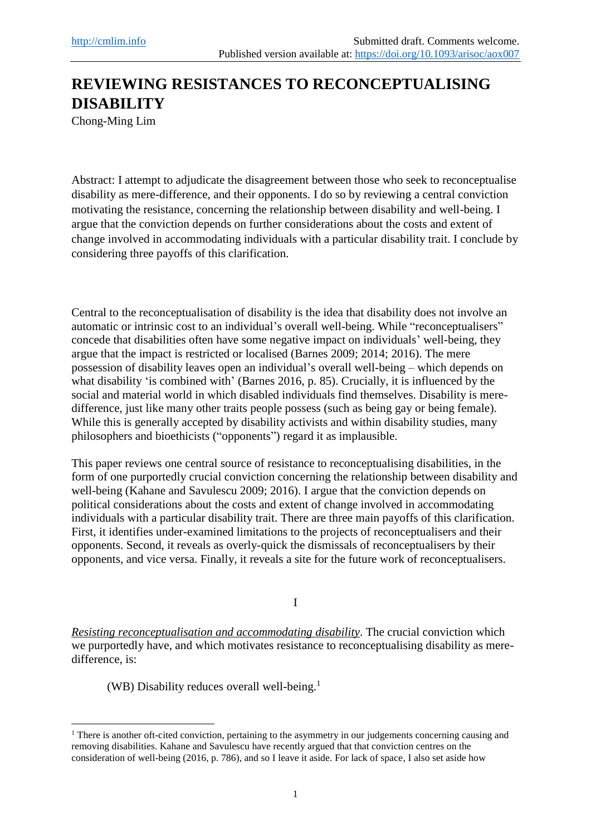## **REVIEWING RESISTANCES TO RECONCEPTUALISING DISABILITY**

Chong-Ming Lim

Abstract: I attempt to adjudicate the disagreement between those who seek to reconceptualise disability as mere-difference, and their opponents. I do so by reviewing a central conviction motivating the resistance, concerning the relationship between disability and well-being. I argue that the conviction depends on further considerations about the costs and extent of change involved in accommodating individuals with a particular disability trait. I conclude by considering three payoffs of this clarification.

Central to the reconceptualisation of disability is the idea that disability does not involve an automatic or intrinsic cost to an individual's overall well-being. While "reconceptualisers" concede that disabilities often have some negative impact on individuals' well-being, they argue that the impact is restricted or localised (Barnes 2009; 2014; 2016). The mere possession of disability leaves open an individual's overall well-being – which depends on what disability 'is combined with' (Barnes 2016, p. 85). Crucially, it is influenced by the social and material world in which disabled individuals find themselves. Disability is meredifference, just like many other traits people possess (such as being gay or being female). While this is generally accepted by disability activists and within disability studies, many philosophers and bioethicists ("opponents") regard it as implausible.

This paper reviews one central source of resistance to reconceptualising disabilities, in the form of one purportedly crucial conviction concerning the relationship between disability and well-being (Kahane and Savulescu 2009; 2016). I argue that the conviction depends on political considerations about the costs and extent of change involved in accommodating individuals with a particular disability trait. There are three main payoffs of this clarification. First, it identifies under-examined limitations to the projects of reconceptualisers and their opponents. Second, it reveals as overly-quick the dismissals of reconceptualisers by their opponents, and vice versa. Finally, it reveals a site for the future work of reconceptualisers.

I

*Resisting reconceptualisation and accommodating disability*. The crucial conviction which we purportedly have, and which motivates resistance to reconceptualising disability as meredifference, is:

(WB) Disability reduces overall well-being. 1

1

 $1$  There is another oft-cited conviction, pertaining to the asymmetry in our judgements concerning causing and removing disabilities. Kahane and Savulescu have recently argued that that conviction centres on the consideration of well-being (2016, p. 786), and so I leave it aside. For lack of space, I also set aside how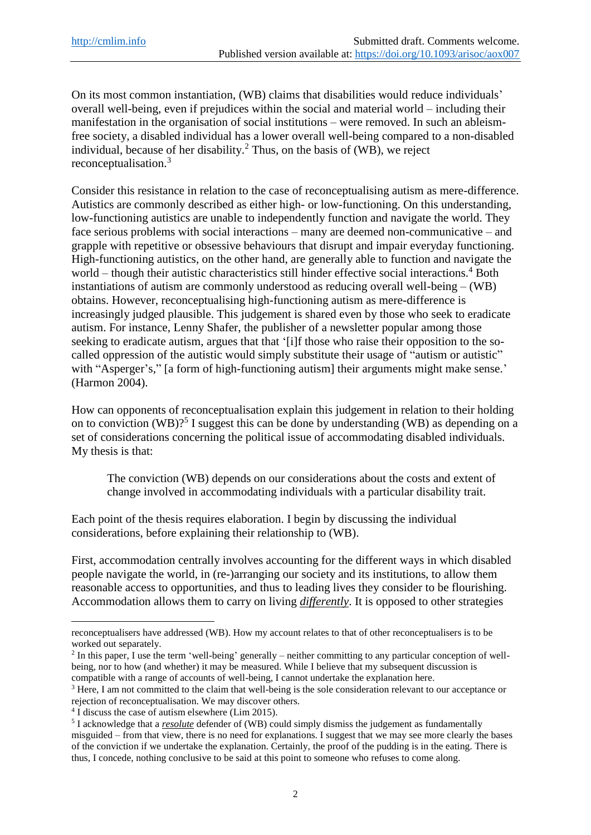On its most common instantiation, (WB) claims that disabilities would reduce individuals' overall well-being, even if prejudices within the social and material world – including their manifestation in the organisation of social institutions – were removed. In such an ableismfree society, a disabled individual has a lower overall well-being compared to a non-disabled individual, because of her disability.<sup>2</sup> Thus, on the basis of  $(WB)$ , we reject reconceptualisation.<sup>3</sup>

Consider this resistance in relation to the case of reconceptualising autism as mere-difference. Autistics are commonly described as either high- or low-functioning. On this understanding, low-functioning autistics are unable to independently function and navigate the world. They face serious problems with social interactions – many are deemed non-communicative – and grapple with repetitive or obsessive behaviours that disrupt and impair everyday functioning. High-functioning autistics, on the other hand, are generally able to function and navigate the world – though their autistic characteristics still hinder effective social interactions.<sup>4</sup> Both instantiations of autism are commonly understood as reducing overall well-being – (WB) obtains. However, reconceptualising high-functioning autism as mere-difference is increasingly judged plausible. This judgement is shared even by those who seek to eradicate autism. For instance, Lenny Shafer, the publisher of a newsletter popular among those seeking to eradicate autism, argues that that '[i]f those who raise their opposition to the socalled oppression of the autistic would simply substitute their usage of "autism or autistic" with "Asperger's," [a form of high-functioning autism] their arguments might make sense.' (Harmon 2004).

How can opponents of reconceptualisation explain this judgement in relation to their holding on to conviction (WB)?<sup>5</sup> I suggest this can be done by understanding (WB) as depending on a set of considerations concerning the political issue of accommodating disabled individuals. My thesis is that:

The conviction (WB) depends on our considerations about the costs and extent of change involved in accommodating individuals with a particular disability trait.

Each point of the thesis requires elaboration. I begin by discussing the individual considerations, before explaining their relationship to (WB).

First, accommodation centrally involves accounting for the different ways in which disabled people navigate the world, in (re-)arranging our society and its institutions, to allow them reasonable access to opportunities, and thus to leading lives they consider to be flourishing. Accommodation allows them to carry on living *differently*. It is opposed to other strategies

1

reconceptualisers have addressed (WB). How my account relates to that of other reconceptualisers is to be worked out separately.

<sup>&</sup>lt;sup>2</sup> In this paper, I use the term 'well-being' generally – neither committing to any particular conception of wellbeing, nor to how (and whether) it may be measured. While I believe that my subsequent discussion is compatible with a range of accounts of well-being, I cannot undertake the explanation here.

<sup>&</sup>lt;sup>3</sup> Here, I am not committed to the claim that well-being is the sole consideration relevant to our acceptance or rejection of reconceptualisation. We may discover others.

<sup>4</sup> I discuss the case of autism elsewhere (Lim 2015).

<sup>5</sup> I acknowledge that a *resolute* defender of (WB) could simply dismiss the judgement as fundamentally misguided – from that view, there is no need for explanations. I suggest that we may see more clearly the bases of the conviction if we undertake the explanation. Certainly, the proof of the pudding is in the eating. There is thus, I concede, nothing conclusive to be said at this point to someone who refuses to come along.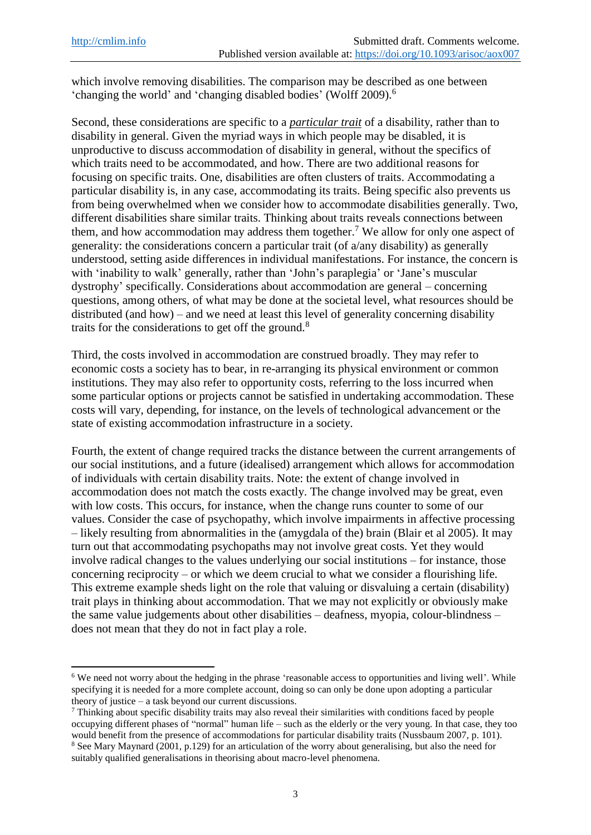which involve removing disabilities. The comparison may be described as one between 'changing the world' and 'changing disabled bodies' (Wolff 2009).<sup>6</sup>

Second, these considerations are specific to a *particular trait* of a disability, rather than to disability in general. Given the myriad ways in which people may be disabled, it is unproductive to discuss accommodation of disability in general, without the specifics of which traits need to be accommodated, and how. There are two additional reasons for focusing on specific traits. One, disabilities are often clusters of traits. Accommodating a particular disability is, in any case, accommodating its traits. Being specific also prevents us from being overwhelmed when we consider how to accommodate disabilities generally. Two, different disabilities share similar traits. Thinking about traits reveals connections between them, and how accommodation may address them together.<sup>7</sup> We allow for only one aspect of generality: the considerations concern a particular trait (of a/any disability) as generally understood, setting aside differences in individual manifestations. For instance, the concern is with 'inability to walk' generally, rather than 'John's paraplegia' or 'Jane's muscular dystrophy' specifically. Considerations about accommodation are general – concerning questions, among others, of what may be done at the societal level, what resources should be distributed (and how) – and we need at least this level of generality concerning disability traits for the considerations to get off the ground.<sup>8</sup>

Third, the costs involved in accommodation are construed broadly. They may refer to economic costs a society has to bear, in re-arranging its physical environment or common institutions. They may also refer to opportunity costs, referring to the loss incurred when some particular options or projects cannot be satisfied in undertaking accommodation. These costs will vary, depending, for instance, on the levels of technological advancement or the state of existing accommodation infrastructure in a society.

Fourth, the extent of change required tracks the distance between the current arrangements of our social institutions, and a future (idealised) arrangement which allows for accommodation of individuals with certain disability traits. Note: the extent of change involved in accommodation does not match the costs exactly. The change involved may be great, even with low costs. This occurs, for instance, when the change runs counter to some of our values. Consider the case of psychopathy, which involve impairments in affective processing – likely resulting from abnormalities in the (amygdala of the) brain (Blair et al 2005). It may turn out that accommodating psychopaths may not involve great costs. Yet they would involve radical changes to the values underlying our social institutions – for instance, those concerning reciprocity – or which we deem crucial to what we consider a flourishing life. This extreme example sheds light on the role that valuing or disvaluing a certain (disability) trait plays in thinking about accommodation. That we may not explicitly or obviously make the same value judgements about other disabilities – deafness, myopia, colour-blindness – does not mean that they do not in fact play a role.

**<sup>.</sup>** <sup>6</sup> We need not worry about the hedging in the phrase 'reasonable access to opportunities and living well'. While specifying it is needed for a more complete account, doing so can only be done upon adopting a particular theory of justice – a task beyond our current discussions.

<sup>7</sup> Thinking about specific disability traits may also reveal their similarities with conditions faced by people occupying different phases of "normal" human life – such as the elderly or the very young. In that case, they too would benefit from the presence of accommodations for particular disability traits (Nussbaum 2007, p. 101). <sup>8</sup> See Mary Maynard (2001, p.129) for an articulation of the worry about generalising, but also the need for suitably qualified generalisations in theorising about macro-level phenomena.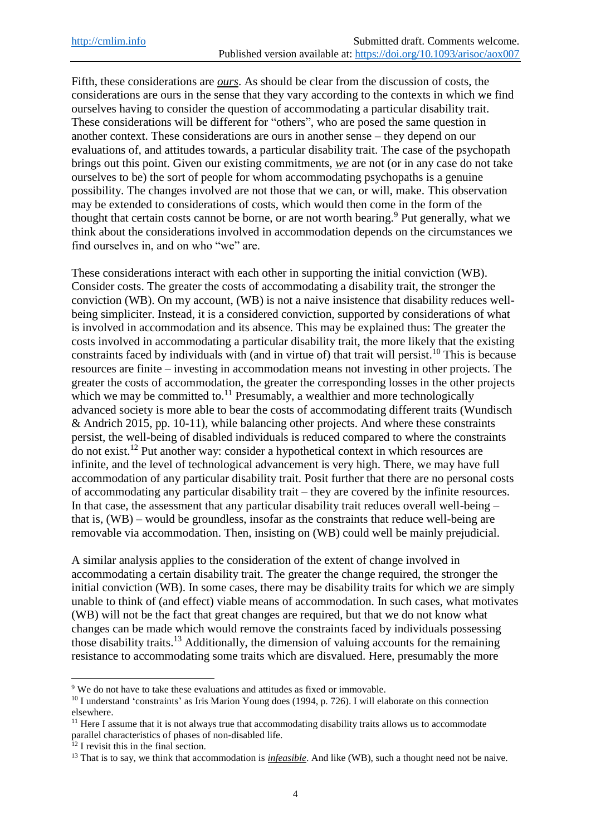Fifth, these considerations are *ours*. As should be clear from the discussion of costs, the considerations are ours in the sense that they vary according to the contexts in which we find ourselves having to consider the question of accommodating a particular disability trait. These considerations will be different for "others", who are posed the same question in another context. These considerations are ours in another sense – they depend on our evaluations of, and attitudes towards, a particular disability trait. The case of the psychopath brings out this point. Given our existing commitments, *we* are not (or in any case do not take ourselves to be) the sort of people for whom accommodating psychopaths is a genuine possibility. The changes involved are not those that we can, or will, make. This observation may be extended to considerations of costs, which would then come in the form of the thought that certain costs cannot be borne, or are not worth bearing.<sup>9</sup> Put generally, what we think about the considerations involved in accommodation depends on the circumstances we find ourselves in, and on who "we" are.

These considerations interact with each other in supporting the initial conviction (WB). Consider costs. The greater the costs of accommodating a disability trait, the stronger the conviction (WB). On my account, (WB) is not a naive insistence that disability reduces wellbeing simpliciter. Instead, it is a considered conviction, supported by considerations of what is involved in accommodation and its absence. This may be explained thus: The greater the costs involved in accommodating a particular disability trait, the more likely that the existing constraints faced by individuals with (and in virtue of) that trait will persist.<sup>10</sup> This is because resources are finite – investing in accommodation means not investing in other projects. The greater the costs of accommodation, the greater the corresponding losses in the other projects which we may be committed to.<sup>11</sup> Presumably, a wealthier and more technologically advanced society is more able to bear the costs of accommodating different traits (Wundisch & Andrich 2015, pp. 10-11), while balancing other projects. And where these constraints persist, the well-being of disabled individuals is reduced compared to where the constraints do not exist.<sup>12</sup> Put another way: consider a hypothetical context in which resources are infinite, and the level of technological advancement is very high. There, we may have full accommodation of any particular disability trait. Posit further that there are no personal costs of accommodating any particular disability trait – they are covered by the infinite resources. In that case, the assessment that any particular disability trait reduces overall well-being – that is, (WB) – would be groundless, insofar as the constraints that reduce well-being are removable via accommodation. Then, insisting on (WB) could well be mainly prejudicial.

A similar analysis applies to the consideration of the extent of change involved in accommodating a certain disability trait. The greater the change required, the stronger the initial conviction (WB). In some cases, there may be disability traits for which we are simply unable to think of (and effect) viable means of accommodation. In such cases, what motivates (WB) will not be the fact that great changes are required, but that we do not know what changes can be made which would remove the constraints faced by individuals possessing those disability traits.<sup>13</sup> Additionally, the dimension of valuing accounts for the remaining resistance to accommodating some traits which are disvalued. Here, presumably the more

**.** 

<sup>9</sup> We do not have to take these evaluations and attitudes as fixed or immovable.

<sup>&</sup>lt;sup>10</sup> I understand 'constraints' as Iris Marion Young does (1994, p. 726). I will elaborate on this connection elsewhere.

 $11$  Here I assume that it is not always true that accommodating disability traits allows us to accommodate parallel characteristics of phases of non-disabled life.

 $^{12}$  I revisit this in the final section.

<sup>&</sup>lt;sup>13</sup> That is to say, we think that accommodation is *infeasible*. And like (WB), such a thought need not be naive.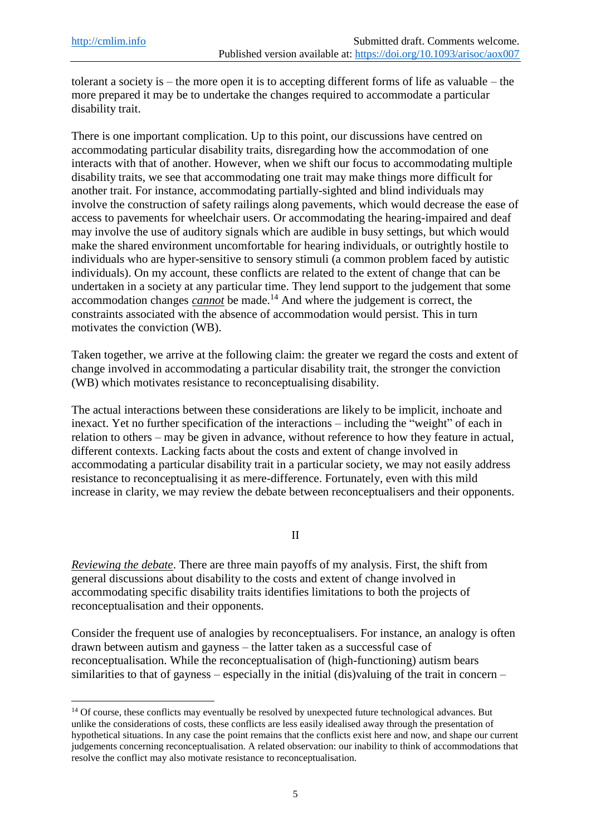**.** 

tolerant a society is – the more open it is to accepting different forms of life as valuable – the more prepared it may be to undertake the changes required to accommodate a particular disability trait.

There is one important complication. Up to this point, our discussions have centred on accommodating particular disability traits, disregarding how the accommodation of one interacts with that of another. However, when we shift our focus to accommodating multiple disability traits, we see that accommodating one trait may make things more difficult for another trait. For instance, accommodating partially-sighted and blind individuals may involve the construction of safety railings along pavements, which would decrease the ease of access to pavements for wheelchair users. Or accommodating the hearing-impaired and deaf may involve the use of auditory signals which are audible in busy settings, but which would make the shared environment uncomfortable for hearing individuals, or outrightly hostile to individuals who are hyper-sensitive to sensory stimuli (a common problem faced by autistic individuals). On my account, these conflicts are related to the extent of change that can be undertaken in a society at any particular time. They lend support to the judgement that some accommodation changes *cannot* be made.<sup>14</sup> And where the judgement is correct, the constraints associated with the absence of accommodation would persist. This in turn motivates the conviction (WB).

Taken together, we arrive at the following claim: the greater we regard the costs and extent of change involved in accommodating a particular disability trait, the stronger the conviction (WB) which motivates resistance to reconceptualising disability.

The actual interactions between these considerations are likely to be implicit, inchoate and inexact. Yet no further specification of the interactions – including the "weight" of each in relation to others – may be given in advance, without reference to how they feature in actual, different contexts. Lacking facts about the costs and extent of change involved in accommodating a particular disability trait in a particular society, we may not easily address resistance to reconceptualising it as mere-difference. Fortunately, even with this mild increase in clarity, we may review the debate between reconceptualisers and their opponents.

II

*Reviewing the debate*. There are three main payoffs of my analysis. First, the shift from general discussions about disability to the costs and extent of change involved in accommodating specific disability traits identifies limitations to both the projects of reconceptualisation and their opponents.

Consider the frequent use of analogies by reconceptualisers. For instance, an analogy is often drawn between autism and gayness – the latter taken as a successful case of reconceptualisation. While the reconceptualisation of (high-functioning) autism bears similarities to that of gayness – especially in the initial (dis)valuing of the trait in concern –

<sup>&</sup>lt;sup>14</sup> Of course, these conflicts may eventually be resolved by unexpected future technological advances. But unlike the considerations of costs, these conflicts are less easily idealised away through the presentation of hypothetical situations. In any case the point remains that the conflicts exist here and now, and shape our current judgements concerning reconceptualisation. A related observation: our inability to think of accommodations that resolve the conflict may also motivate resistance to reconceptualisation.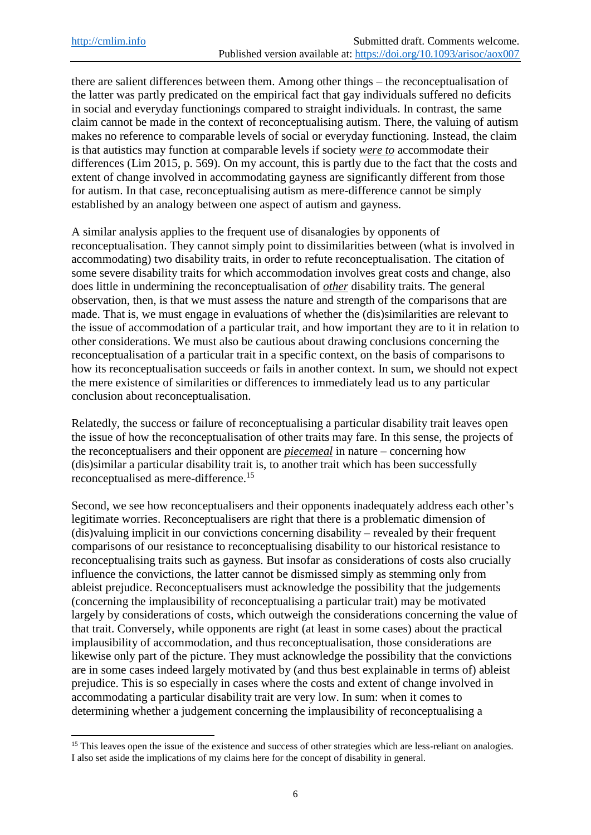there are salient differences between them. Among other things – the reconceptualisation of the latter was partly predicated on the empirical fact that gay individuals suffered no deficits in social and everyday functionings compared to straight individuals. In contrast, the same claim cannot be made in the context of reconceptualising autism. There, the valuing of autism makes no reference to comparable levels of social or everyday functioning. Instead, the claim is that autistics may function at comparable levels if society *were to* accommodate their differences (Lim 2015, p. 569). On my account, this is partly due to the fact that the costs and extent of change involved in accommodating gayness are significantly different from those for autism. In that case, reconceptualising autism as mere-difference cannot be simply established by an analogy between one aspect of autism and gayness.

A similar analysis applies to the frequent use of disanalogies by opponents of reconceptualisation. They cannot simply point to dissimilarities between (what is involved in accommodating) two disability traits, in order to refute reconceptualisation. The citation of some severe disability traits for which accommodation involves great costs and change, also does little in undermining the reconceptualisation of *other* disability traits. The general observation, then, is that we must assess the nature and strength of the comparisons that are made. That is, we must engage in evaluations of whether the (dis)similarities are relevant to the issue of accommodation of a particular trait, and how important they are to it in relation to other considerations. We must also be cautious about drawing conclusions concerning the reconceptualisation of a particular trait in a specific context, on the basis of comparisons to how its reconceptualisation succeeds or fails in another context. In sum, we should not expect the mere existence of similarities or differences to immediately lead us to any particular conclusion about reconceptualisation.

Relatedly, the success or failure of reconceptualising a particular disability trait leaves open the issue of how the reconceptualisation of other traits may fare. In this sense, the projects of the reconceptualisers and their opponent are *piecemeal* in nature – concerning how (dis)similar a particular disability trait is, to another trait which has been successfully reconceptualised as mere-difference.<sup>15</sup>

Second, we see how reconceptualisers and their opponents inadequately address each other's legitimate worries. Reconceptualisers are right that there is a problematic dimension of (dis)valuing implicit in our convictions concerning disability – revealed by their frequent comparisons of our resistance to reconceptualising disability to our historical resistance to reconceptualising traits such as gayness. But insofar as considerations of costs also crucially influence the convictions, the latter cannot be dismissed simply as stemming only from ableist prejudice. Reconceptualisers must acknowledge the possibility that the judgements (concerning the implausibility of reconceptualising a particular trait) may be motivated largely by considerations of costs, which outweigh the considerations concerning the value of that trait. Conversely, while opponents are right (at least in some cases) about the practical implausibility of accommodation, and thus reconceptualisation, those considerations are likewise only part of the picture. They must acknowledge the possibility that the convictions are in some cases indeed largely motivated by (and thus best explainable in terms of) ableist prejudice. This is so especially in cases where the costs and extent of change involved in accommodating a particular disability trait are very low. In sum: when it comes to determining whether a judgement concerning the implausibility of reconceptualising a

**<sup>.</sup>**  $15$  This leaves open the issue of the existence and success of other strategies which are less-reliant on analogies. I also set aside the implications of my claims here for the concept of disability in general.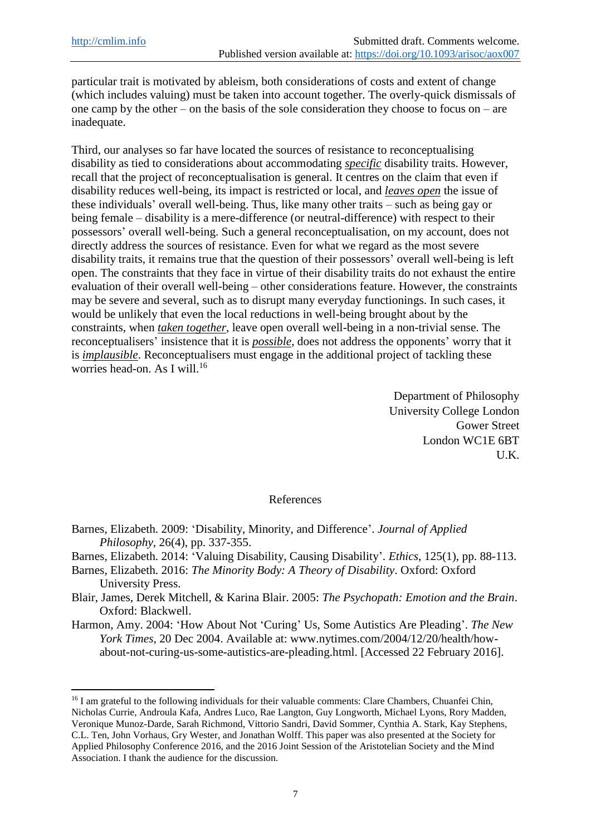1

particular trait is motivated by ableism, both considerations of costs and extent of change (which includes valuing) must be taken into account together. The overly-quick dismissals of one camp by the other – on the basis of the sole consideration they choose to focus on – are inadequate.

Third, our analyses so far have located the sources of resistance to reconceptualising disability as tied to considerations about accommodating *specific* disability traits. However, recall that the project of reconceptualisation is general. It centres on the claim that even if disability reduces well-being, its impact is restricted or local, and *leaves open* the issue of these individuals' overall well-being. Thus, like many other traits – such as being gay or being female – disability is a mere-difference (or neutral-difference) with respect to their possessors' overall well-being. Such a general reconceptualisation, on my account, does not directly address the sources of resistance. Even for what we regard as the most severe disability traits, it remains true that the question of their possessors' overall well-being is left open. The constraints that they face in virtue of their disability traits do not exhaust the entire evaluation of their overall well-being – other considerations feature. However, the constraints may be severe and several, such as to disrupt many everyday functionings. In such cases, it would be unlikely that even the local reductions in well-being brought about by the constraints, when *taken together*, leave open overall well-being in a non-trivial sense. The reconceptualisers' insistence that it is *possible*, does not address the opponents' worry that it is *implausible*. Reconceptualisers must engage in the additional project of tackling these worries head-on. As I will.<sup>16</sup>

> Department of Philosophy University College London Gower Street London WC1E 6BT U.K.

## References

- Barnes, Elizabeth. 2009: 'Disability, Minority, and Difference'. *Journal of Applied Philosophy*, 26(4), pp. 337-355.
- Barnes, Elizabeth. 2014: 'Valuing Disability, Causing Disability'. *Ethics*, 125(1), pp. 88-113.
- Barnes, Elizabeth. 2016: *The Minority Body: A Theory of Disability*. Oxford: Oxford University Press.
- Blair, James, Derek Mitchell, & Karina Blair. 2005: *The Psychopath: Emotion and the Brain*. Oxford: Blackwell.
- Harmon, Amy. 2004: 'How About Not 'Curing' Us, Some Autistics Are Pleading'. *The New York Times*, 20 Dec 2004. Available at: www.nytimes.com/2004/12/20/health/howabout-not-curing-us-some-autistics-are-pleading.html. [Accessed 22 February 2016].

<sup>&</sup>lt;sup>16</sup> I am grateful to the following individuals for their valuable comments: Clare Chambers, Chuanfei Chin, Nicholas Currie, Androula Kafa, Andres Luco, Rae Langton, Guy Longworth, Michael Lyons, Rory Madden, Veronique Munoz-Darde, Sarah Richmond, Vittorio Sandri, David Sommer, Cynthia A. Stark, Kay Stephens, C.L. Ten, John Vorhaus, Gry Wester, and Jonathan Wolff. This paper was also presented at the Society for Applied Philosophy Conference 2016, and the 2016 Joint Session of the Aristotelian Society and the Mind Association. I thank the audience for the discussion.